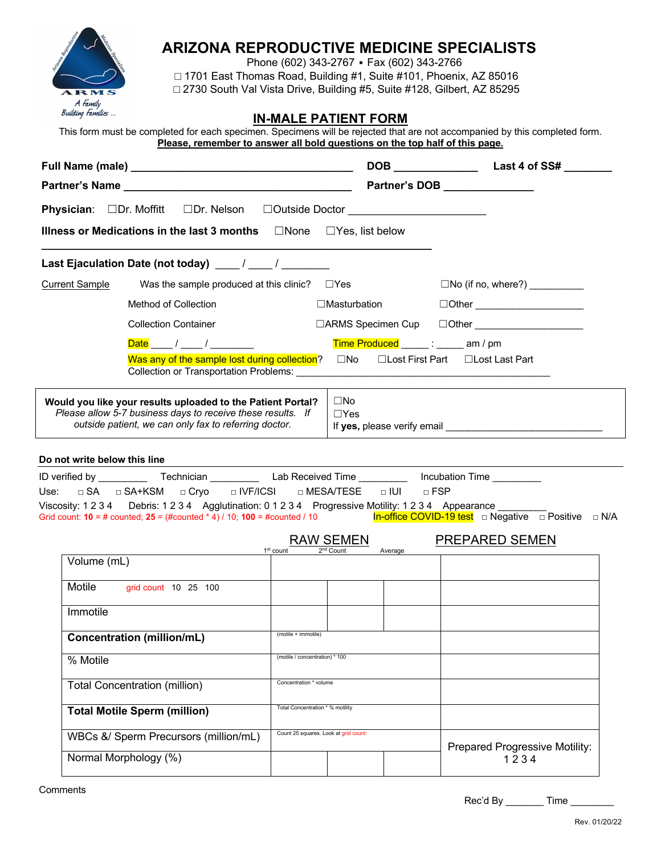

## **ARIZONA REPRODUCTIVE MEDICINE SPECIALISTS**

Phone (602) 343-2767 • Fax (602) 343-2766 □ 1701 East Thomas Road, Building #1, Suite #101, Phoenix, AZ 85016 □ 2730 South Val Vista Drive, Building #5, Suite #128, Gilbert, AZ 85295

## **IN-MALE PATIENT FORM**

| This form must be completed for each specimen. Specimens will be rejected that are not accompanied by this completed form. |  |
|----------------------------------------------------------------------------------------------------------------------------|--|
| Please, remember to answer all bold questions on the top half of this page.                                                |  |

|                              |                                                                                                                                                                                     |                                       | Partner's DOB <b>Exercise Services</b> |                                                                                                                                      |
|------------------------------|-------------------------------------------------------------------------------------------------------------------------------------------------------------------------------------|---------------------------------------|----------------------------------------|--------------------------------------------------------------------------------------------------------------------------------------|
|                              | Physician: □Dr. Moffitt □Dr. Nelson □Outside Doctor ____________________________                                                                                                    |                                       |                                        |                                                                                                                                      |
|                              | Illness or Medications in the last 3 months $\Box$ None $\Box$ Yes, list below                                                                                                      |                                       |                                        |                                                                                                                                      |
|                              |                                                                                                                                                                                     |                                       |                                        |                                                                                                                                      |
| <b>Current Sample</b>        | Was the sample produced at this clinic?                                                                                                                                             | $\Box$ Yes                            |                                        | $\Box$ No (if no, where?) ___________                                                                                                |
|                              | Method of Collection                                                                                                                                                                |                                       | $\Box$ Masturbation                    | □Other _______________________                                                                                                       |
|                              | <b>Collection Container</b>                                                                                                                                                         |                                       |                                        | □ARMS Specimen Cup □Other ____________________                                                                                       |
|                              | Date ____/ ____/ _________                                                                                                                                                          |                                       |                                        | Time Produced _____: _____ am / pm                                                                                                   |
|                              | Was any of the sample lost during collection? $\square$ No                                                                                                                          |                                       |                                        | □ Lost First Part □ Lost Last Part                                                                                                   |
|                              | Would you like your results uploaded to the Patient Portal?<br>Please allow 5-7 business days to receive these results. If<br>outside patient, we can only fax to referring doctor. |                                       | $\square$ No<br>$\Box$ Yes             |                                                                                                                                      |
| Do not write below this line |                                                                                                                                                                                     |                                       |                                        |                                                                                                                                      |
|                              | ID verified by _____________Technician _______________Lab Received Time ________________ Incubation Time __________                                                                 |                                       |                                        |                                                                                                                                      |
|                              | Use: □ SA □ SA+KSM □ Cryo   □ IVF/ICSI<br>Viscosity: 1 2 3 4 Debris: 1 2 3 4 Agglutination: 0 1 2 3 4 Progressive Motility: 1 2 3 4 Appearance _____                                | □ MESA/TESE                           | $\Box$ IUI                             | $\sqcap$ FSP                                                                                                                         |
|                              |                                                                                                                                                                                     |                                       |                                        | Grid count: 10 = # counted; 25 = (#counted * 4) / 10; 100 = #counted / 10 <b>In-office COVID-19 test</b> □ Negative □ Positive □ N/A |
|                              |                                                                                                                                                                                     | <b>RAW SEMEN</b>                      |                                        | <b>PREPARED SEMEN</b>                                                                                                                |
| Volume (mL)                  |                                                                                                                                                                                     | 1 <sup>st</sup> count<br>$2nd$ Count  | Average                                |                                                                                                                                      |
| Motile                       | grid count 10 25 100                                                                                                                                                                |                                       |                                        |                                                                                                                                      |
| Immotile                     |                                                                                                                                                                                     |                                       |                                        |                                                                                                                                      |
|                              | <b>Concentration (million/mL)</b>                                                                                                                                                   | (motile + immotile)                   |                                        |                                                                                                                                      |
| % Motile                     |                                                                                                                                                                                     | (motile / concentration) * 100        |                                        |                                                                                                                                      |
|                              | Total Concentration (million)                                                                                                                                                       | Concentration * volume                |                                        |                                                                                                                                      |
|                              | <b>Total Motile Sperm (million)</b>                                                                                                                                                 | Total Concentration * % motility      |                                        |                                                                                                                                      |
|                              | WBCs &/ Sperm Precursors (million/mL)                                                                                                                                               | Count 25 squares. Look at grid count: |                                        | Prepared Progressive Motility:                                                                                                       |
|                              | Normal Morphology (%)                                                                                                                                                               |                                       |                                        | 1234                                                                                                                                 |